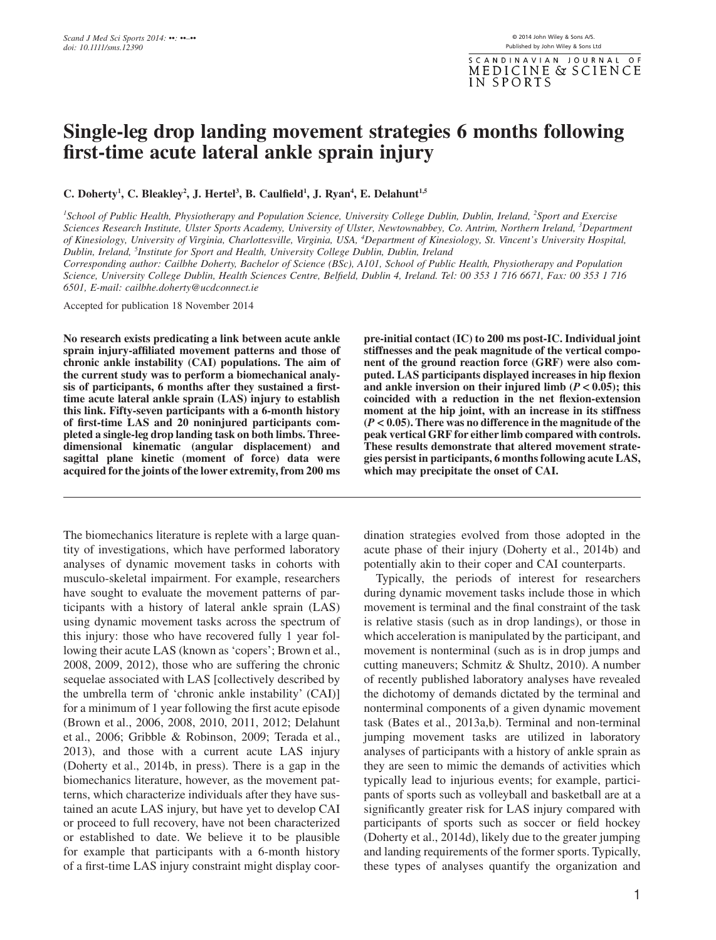SCANDINAVIAN JOURNAL  $\overline{O}$  F MEDICINE & SCIENCE IN SPORTS

# **Single-leg drop landing movement strategies 6 months following first-time acute lateral ankle sprain injury**

**C. Doherty<sup>1</sup>, C. Bleakley<sup>2</sup>, J. Hertel<sup>3</sup>, B. Caulfield<sup>1</sup>, J. Ryan<sup>4</sup>, E. Delahunt<sup>1,5</sup>** 

*1 School of Public Health, Physiotherapy and Population Science, University College Dublin, Dublin, Ireland, <sup>2</sup> Sport and Exercise Sciences Research Institute, Ulster Sports Academy, University of Ulster, Newtownabbey, Co. Antrim, Northern Ireland, <sup>3</sup> Department of Kinesiology, University of Virginia, Charlottesville, Virginia, USA, <sup>4</sup> Department of Kinesiology, St. Vincent's University Hospital, Dublin, Ireland, <sup>5</sup> Institute for Sport and Health, University College Dublin, Dublin, Ireland*

*Corresponding author: Cailbhe Doherty, Bachelor of Science (BSc), A101, School of Public Health, Physiotherapy and Population Science, University College Dublin, Health Sciences Centre, Belfield, Dublin 4, Ireland. Tel: 00 353 1 716 6671, Fax: 00 353 1 716 6501, E-mail: [cailbhe.doherty@ucdconnect.ie](mailto:cailbhe.doherty@ucdconnect.ie)*

Accepted for publication 18 November 2014

**No research exists predicating a link between acute ankle sprain injury-affiliated movement patterns and those of chronic ankle instability (CAI) populations. The aim of the current study was to perform a biomechanical analysis of participants, 6 months after they sustained a firsttime acute lateral ankle sprain (LAS) injury to establish this link. Fifty-seven participants with a 6-month history of first-time LAS and 20 noninjured participants completed a single-leg drop landing task on both limbs. Threedimensional kinematic (angular displacement) and sagittal plane kinetic (moment of force) data were acquired for the joints of the lower extremity, from 200 ms**

The biomechanics literature is replete with a large quantity of investigations, which have performed laboratory analyses of dynamic movement tasks in cohorts with musculo-skeletal impairment. For example, researchers have sought to evaluate the movement patterns of participants with a history of lateral ankle sprain (LAS) using dynamic movement tasks across the spectrum of this injury: those who have recovered fully 1 year following their acute LAS (known as 'copers'; Brown et al., 2008, 2009, 2012), those who are suffering the chronic sequelae associated with LAS [collectively described by the umbrella term of 'chronic ankle instability' (CAI)] for a minimum of 1 year following the first acute episode (Brown et al., 2006, 2008, 2010, 2011, 2012; Delahunt et al., 2006; Gribble & Robinson, 2009; Terada et al., 2013), and those with a current acute LAS injury (Doherty et al., 2014b, in press). There is a gap in the biomechanics literature, however, as the movement patterns, which characterize individuals after they have sustained an acute LAS injury, but have yet to develop CAI or proceed to full recovery, have not been characterized or established to date. We believe it to be plausible for example that participants with a 6-month history of a first-time LAS injury constraint might display coor**pre-initial contact (IC) to 200 ms post-IC. Individual joint stiffnesses and the peak magnitude of the vertical component of the ground reaction force (GRF) were also computed. LAS participants displayed increases in hip flexion** and ankle inversion on their injured limb  $(P < 0.05)$ ; this **coincided with a reduction in the net flexion-extension moment at the hip joint, with an increase in its stiffness (***P* **< 0.05). There was no difference in the magnitude of the peak vertical GRF for either limb compared with controls. These results demonstrate that altered movement strategies persist in participants, 6 months following acute LAS, which may precipitate the onset of CAI.**

dination strategies evolved from those adopted in the acute phase of their injury (Doherty et al., 2014b) and potentially akin to their coper and CAI counterparts.

Typically, the periods of interest for researchers during dynamic movement tasks include those in which movement is terminal and the final constraint of the task is relative stasis (such as in drop landings), or those in which acceleration is manipulated by the participant, and movement is nonterminal (such as is in drop jumps and cutting maneuvers; Schmitz & Shultz, 2010). A number of recently published laboratory analyses have revealed the dichotomy of demands dictated by the terminal and nonterminal components of a given dynamic movement task (Bates et al., 2013a,b). Terminal and non-terminal jumping movement tasks are utilized in laboratory analyses of participants with a history of ankle sprain as they are seen to mimic the demands of activities which typically lead to injurious events; for example, participants of sports such as volleyball and basketball are at a significantly greater risk for LAS injury compared with participants of sports such as soccer or field hockey (Doherty et al., 2014d), likely due to the greater jumping and landing requirements of the former sports. Typically, these types of analyses quantify the organization and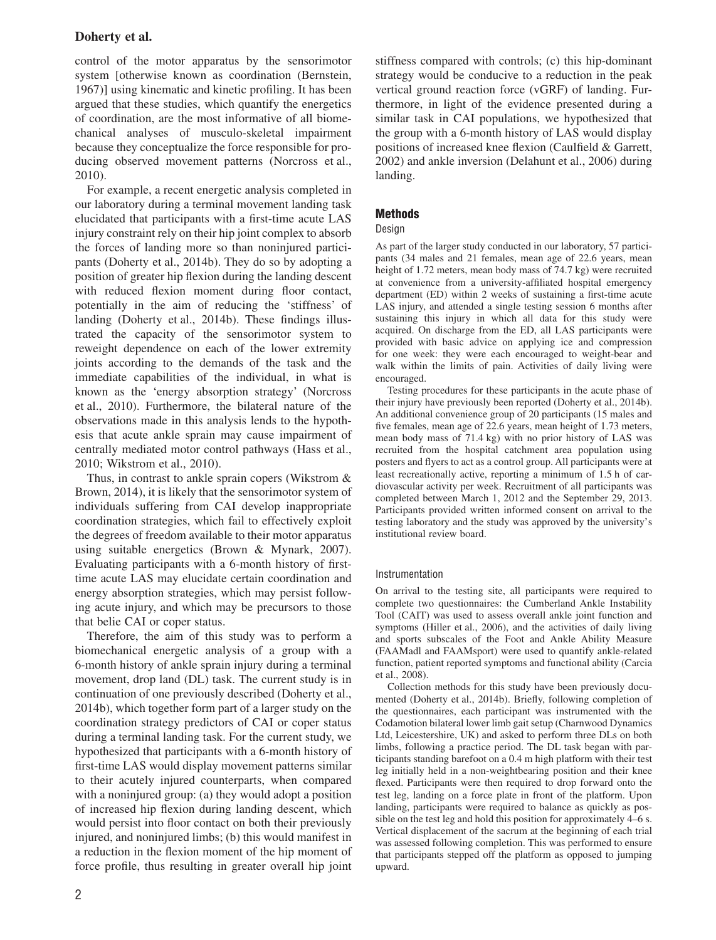control of the motor apparatus by the sensorimotor system [otherwise known as coordination (Bernstein, 1967)] using kinematic and kinetic profiling. It has been argued that these studies, which quantify the energetics of coordination, are the most informative of all biomechanical analyses of musculo-skeletal impairment because they conceptualize the force responsible for producing observed movement patterns (Norcross et al., 2010).

For example, a recent energetic analysis completed in our laboratory during a terminal movement landing task elucidated that participants with a first-time acute LAS injury constraint rely on their hip joint complex to absorb the forces of landing more so than noninjured participants (Doherty et al., 2014b). They do so by adopting a position of greater hip flexion during the landing descent with reduced flexion moment during floor contact, potentially in the aim of reducing the 'stiffness' of landing (Doherty et al., 2014b). These findings illustrated the capacity of the sensorimotor system to reweight dependence on each of the lower extremity joints according to the demands of the task and the immediate capabilities of the individual, in what is known as the 'energy absorption strategy' (Norcross et al., 2010). Furthermore, the bilateral nature of the observations made in this analysis lends to the hypothesis that acute ankle sprain may cause impairment of centrally mediated motor control pathways (Hass et al., 2010; Wikstrom et al., 2010).

Thus, in contrast to ankle sprain copers (Wikstrom & Brown, 2014), it is likely that the sensorimotor system of individuals suffering from CAI develop inappropriate coordination strategies, which fail to effectively exploit the degrees of freedom available to their motor apparatus using suitable energetics (Brown & Mynark, 2007). Evaluating participants with a 6-month history of firsttime acute LAS may elucidate certain coordination and energy absorption strategies, which may persist following acute injury, and which may be precursors to those that belie CAI or coper status.

Therefore, the aim of this study was to perform a biomechanical energetic analysis of a group with a 6-month history of ankle sprain injury during a terminal movement, drop land (DL) task. The current study is in continuation of one previously described (Doherty et al., 2014b), which together form part of a larger study on the coordination strategy predictors of CAI or coper status during a terminal landing task. For the current study, we hypothesized that participants with a 6-month history of first-time LAS would display movement patterns similar to their acutely injured counterparts, when compared with a noninjured group: (a) they would adopt a position of increased hip flexion during landing descent, which would persist into floor contact on both their previously injured, and noninjured limbs; (b) this would manifest in a reduction in the flexion moment of the hip moment of force profile, thus resulting in greater overall hip joint stiffness compared with controls; (c) this hip-dominant strategy would be conducive to a reduction in the peak vertical ground reaction force (vGRF) of landing. Furthermore, in light of the evidence presented during a similar task in CAI populations, we hypothesized that the group with a 6-month history of LAS would display positions of increased knee flexion (Caulfield & Garrett, 2002) and ankle inversion (Delahunt et al., 2006) during landing.

# **Methods**

### Design

As part of the larger study conducted in our laboratory, 57 participants (34 males and 21 females, mean age of 22.6 years, mean height of 1.72 meters, mean body mass of 74.7 kg) were recruited at convenience from a university-affiliated hospital emergency department (ED) within 2 weeks of sustaining a first-time acute LAS injury, and attended a single testing session 6 months after sustaining this injury in which all data for this study were acquired. On discharge from the ED, all LAS participants were provided with basic advice on applying ice and compression for one week: they were each encouraged to weight-bear and walk within the limits of pain. Activities of daily living were encouraged.

Testing procedures for these participants in the acute phase of their injury have previously been reported (Doherty et al., 2014b). An additional convenience group of 20 participants (15 males and five females, mean age of 22.6 years, mean height of 1.73 meters, mean body mass of 71.4 kg) with no prior history of LAS was recruited from the hospital catchment area population using posters and flyers to act as a control group. All participants were at least recreationally active, reporting a minimum of 1.5 h of cardiovascular activity per week. Recruitment of all participants was completed between March 1, 2012 and the September 29, 2013. Participants provided written informed consent on arrival to the testing laboratory and the study was approved by the university's institutional review board.

#### Instrumentation

On arrival to the testing site, all participants were required to complete two questionnaires: the Cumberland Ankle Instability Tool (CAIT) was used to assess overall ankle joint function and symptoms (Hiller et al., 2006), and the activities of daily living and sports subscales of the Foot and Ankle Ability Measure (FAAMadl and FAAMsport) were used to quantify ankle-related function, patient reported symptoms and functional ability (Carcia et al., 2008).

Collection methods for this study have been previously documented (Doherty et al., 2014b). Briefly, following completion of the questionnaires, each participant was instrumented with the Codamotion bilateral lower limb gait setup (Charnwood Dynamics Ltd, Leicestershire, UK) and asked to perform three DLs on both limbs, following a practice period. The DL task began with participants standing barefoot on a 0.4 m high platform with their test leg initially held in a non-weightbearing position and their knee flexed. Participants were then required to drop forward onto the test leg, landing on a force plate in front of the platform. Upon landing, participants were required to balance as quickly as possible on the test leg and hold this position for approximately 4–6 s. Vertical displacement of the sacrum at the beginning of each trial was assessed following completion. This was performed to ensure that participants stepped off the platform as opposed to jumping upward.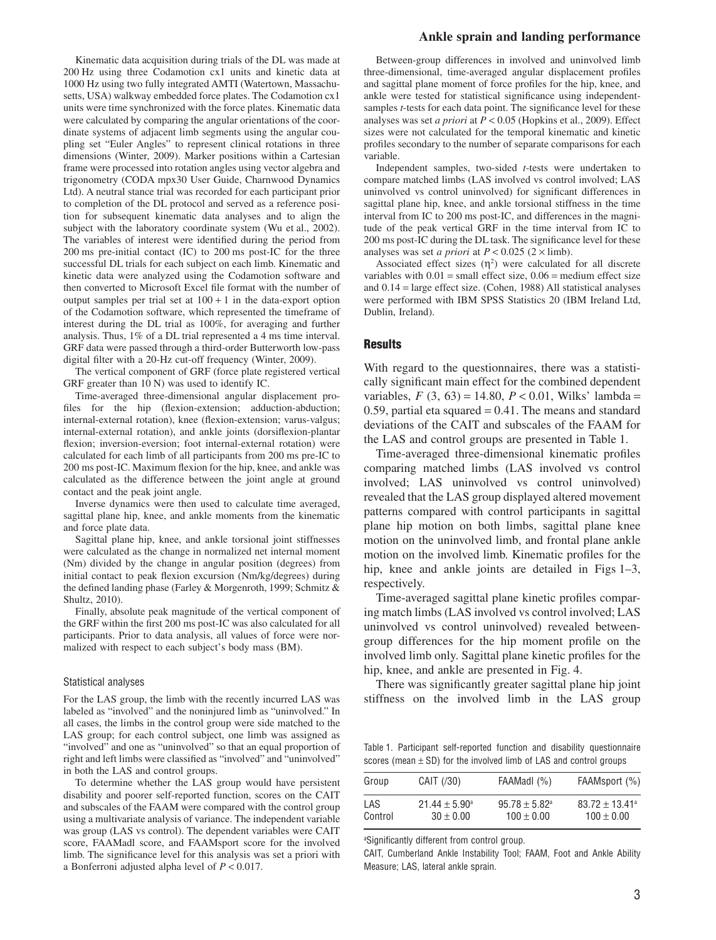Kinematic data acquisition during trials of the DL was made at 200 Hz using three Codamotion cx1 units and kinetic data at 1000 Hz using two fully integrated AMTI (Watertown, Massachusetts, USA) walkway embedded force plates. The Codamotion cx1 units were time synchronized with the force plates. Kinematic data were calculated by comparing the angular orientations of the coordinate systems of adjacent limb segments using the angular coupling set "Euler Angles" to represent clinical rotations in three dimensions (Winter, 2009). Marker positions within a Cartesian frame were processed into rotation angles using vector algebra and trigonometry (CODA mpx30 User Guide, Charnwood Dynamics Ltd). A neutral stance trial was recorded for each participant prior to completion of the DL protocol and served as a reference position for subsequent kinematic data analyses and to align the subject with the laboratory coordinate system (Wu et al., 2002). The variables of interest were identified during the period from 200 ms pre-initial contact (IC) to 200 ms post-IC for the three successful DL trials for each subject on each limb. Kinematic and kinetic data were analyzed using the Codamotion software and then converted to Microsoft Excel file format with the number of output samples per trial set at  $100 + 1$  in the data-export option of the Codamotion software, which represented the timeframe of interest during the DL trial as 100%, for averaging and further analysis. Thus, 1% of a DL trial represented a 4 ms time interval. GRF data were passed through a third-order Butterworth low-pass digital filter with a 20-Hz cut-off frequency (Winter, 2009).

The vertical component of GRF (force plate registered vertical GRF greater than 10 N) was used to identify IC.

Time-averaged three-dimensional angular displacement profiles for the hip (flexion-extension; adduction-abduction; internal-external rotation), knee (flexion-extension; varus-valgus; internal-external rotation), and ankle joints (dorsiflexion-plantar flexion; inversion-eversion; foot internal-external rotation) were calculated for each limb of all participants from 200 ms pre-IC to 200 ms post-IC. Maximum flexion for the hip, knee, and ankle was calculated as the difference between the joint angle at ground contact and the peak joint angle.

Inverse dynamics were then used to calculate time averaged, sagittal plane hip, knee, and ankle moments from the kinematic and force plate data.

Sagittal plane hip, knee, and ankle torsional joint stiffnesses were calculated as the change in normalized net internal moment (Nm) divided by the change in angular position (degrees) from initial contact to peak flexion excursion (Nm/kg/degrees) during the defined landing phase (Farley & Morgenroth, 1999; Schmitz & Shultz, 2010).

Finally, absolute peak magnitude of the vertical component of the GRF within the first 200 ms post-IC was also calculated for all participants. Prior to data analysis, all values of force were normalized with respect to each subject's body mass (BM).

#### Statistical analyses

For the LAS group, the limb with the recently incurred LAS was labeled as "involved" and the noninjured limb as "uninvolved." In all cases, the limbs in the control group were side matched to the LAS group; for each control subject, one limb was assigned as "involved" and one as "uninvolved" so that an equal proportion of right and left limbs were classified as "involved" and "uninvolved" in both the LAS and control groups.

To determine whether the LAS group would have persistent disability and poorer self-reported function, scores on the CAIT and subscales of the FAAM were compared with the control group using a multivariate analysis of variance. The independent variable was group (LAS vs control). The dependent variables were CAIT score, FAAMadl score, and FAAMsport score for the involved limb. The significance level for this analysis was set a priori with a Bonferroni adjusted alpha level of *P* < 0.017.

#### **Ankle sprain and landing performance**

Between-group differences in involved and uninvolved limb three-dimensional, time-averaged angular displacement profiles and sagittal plane moment of force profiles for the hip, knee, and ankle were tested for statistical significance using independentsamples *t*-tests for each data point. The significance level for these analyses was set *a priori* at *P* < 0.05 (Hopkins et al., 2009). Effect sizes were not calculated for the temporal kinematic and kinetic profiles secondary to the number of separate comparisons for each variable.

Independent samples, two-sided *t*-tests were undertaken to compare matched limbs (LAS involved vs control involved; LAS uninvolved vs control uninvolved) for significant differences in sagittal plane hip, knee, and ankle torsional stiffness in the time interval from IC to 200 ms post-IC, and differences in the magnitude of the peak vertical GRF in the time interval from IC to 200 ms post-IC during the DL task. The significance level for these analyses was set *a priori* at  $P < 0.025$  ( $2 \times$  limb).

Associated effect sizes  $(\eta^2)$  were calculated for all discrete variables with  $0.01$  = small effect size,  $0.06$  = medium effect size and 0.14 = large effect size. (Cohen, 1988) All statistical analyses were performed with IBM SPSS Statistics 20 (IBM Ireland Ltd, Dublin, Ireland).

#### **Results**

With regard to the questionnaires, there was a statistically significant main effect for the combined dependent variables,  $F(3, 63) = 14.80, P < 0.01$ , Wilks' lambda = 0.59, partial eta squared  $= 0.41$ . The means and standard deviations of the CAIT and subscales of the FAAM for the LAS and control groups are presented in Table 1.

Time-averaged three-dimensional kinematic profiles comparing matched limbs (LAS involved vs control involved; LAS uninvolved vs control uninvolved) revealed that the LAS group displayed altered movement patterns compared with control participants in sagittal plane hip motion on both limbs, sagittal plane knee motion on the uninvolved limb, and frontal plane ankle motion on the involved limb. Kinematic profiles for the hip, knee and ankle joints are detailed in Figs 1–3, respectively.

Time-averaged sagittal plane kinetic profiles comparing match limbs (LAS involved vs control involved; LAS uninvolved vs control uninvolved) revealed betweengroup differences for the hip moment profile on the involved limb only. Sagittal plane kinetic profiles for the hip, knee, and ankle are presented in Fig. 4.

There was significantly greater sagittal plane hip joint stiffness on the involved limb in the LAS group

Table 1. Participant self-reported function and disability questionnaire scores (mean  $\pm$  SD) for the involved limb of LAS and control groups

| Group   | CAIT (/30)               | FAAMadl (%)              | FAAMsport (%)       |  |  |
|---------|--------------------------|--------------------------|---------------------|--|--|
| LAS     | $21.44 \pm 5.90^{\circ}$ | $95.78 \pm 5.82^{\circ}$ | $83.72 \pm 13.41^a$ |  |  |
| Control | $30 \pm 0.00$            | $100 \pm 0.00$           | $100 \pm 0.00$      |  |  |

a Significantly different from control group.

CAIT, Cumberland Ankle Instability Tool; FAAM, Foot and Ankle Ability Measure; LAS, lateral ankle sprain.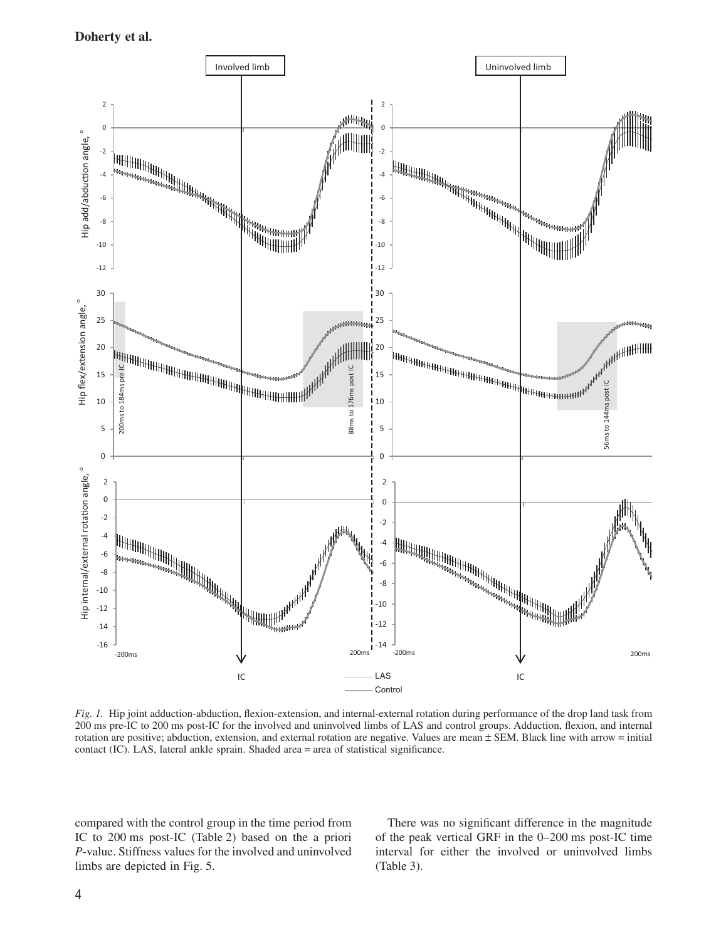

*Fig. 1.* Hip joint adduction-abduction, flexion-extension, and internal-external rotation during performance of the drop land task from 200 ms pre-IC to 200 ms post-IC for the involved and uninvolved limbs of LAS and control groups. Adduction, flexion, and internal rotation are positive; abduction, extension, and external rotation are negative. Values are mean ± SEM. Black line with arrow = initial contact (IC). LAS, lateral ankle sprain. Shaded area = area of statistical significance.

compared with the control group in the time period from IC to 200 ms post-IC (Table 2) based on the a priori *P*-value. Stiffness values for the involved and uninvolved limbs are depicted in Fig. 5.

There was no significant difference in the magnitude of the peak vertical GRF in the 0–200 ms post-IC time interval for either the involved or uninvolved limbs (Table 3).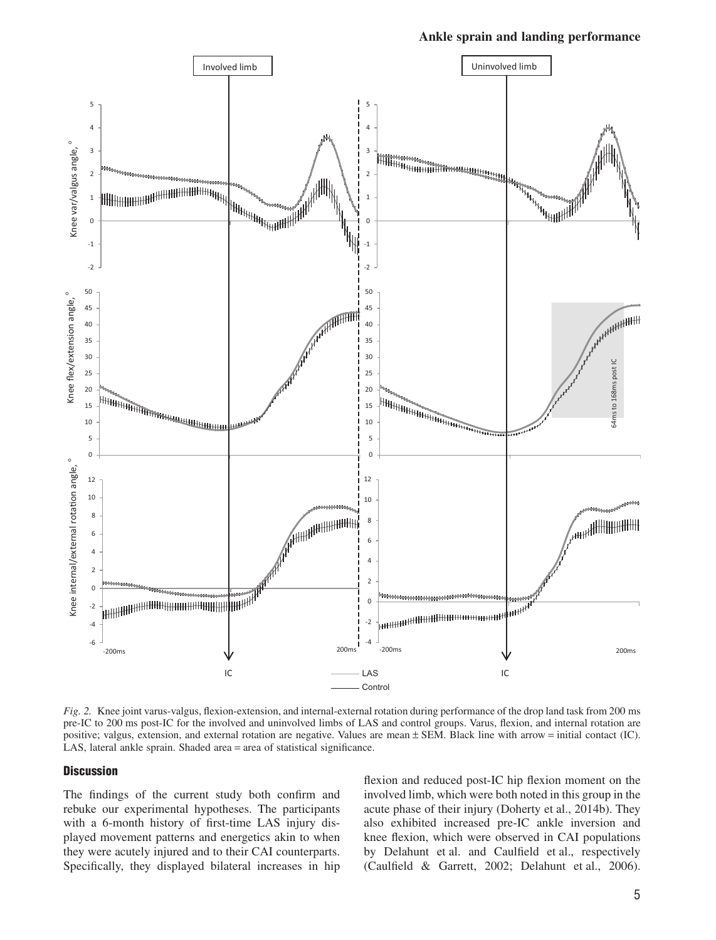

*Fig. 2.* Knee joint varus-valgus, flexion-extension, and internal-external rotation during performance of the drop land task from 200 ms pre-IC to 200 ms post-IC for the involved and uninvolved limbs of LAS and control groups. Varus, flexion, and internal rotation are positive; valgus, extension, and external rotation are negative. Values are mean ± SEM. Black line with arrow = initial contact (IC). LAS, lateral ankle sprain. Shaded area = area of statistical significance.

### **Discussion**

The findings of the current study both confirm and rebuke our experimental hypotheses. The participants with a 6-month history of first-time LAS injury displayed movement patterns and energetics akin to when they were acutely injured and to their CAI counterparts. Specifically, they displayed bilateral increases in hip flexion and reduced post-IC hip flexion moment on the involved limb, which were both noted in this group in the acute phase of their injury (Doherty et al., 2014b). They also exhibited increased pre-IC ankle inversion and knee flexion, which were observed in CAI populations by Delahunt et al. and Caulfield et al., respectively (Caulfield & Garrett, 2002; Delahunt et al., 2006).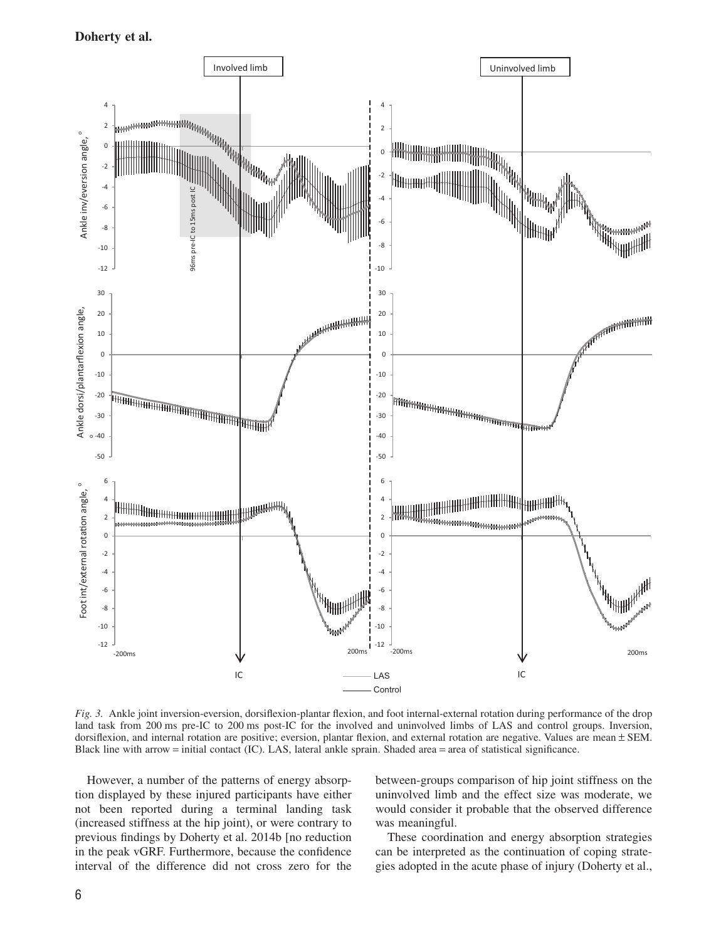

*Fig. 3.* Ankle joint inversion-eversion, dorsiflexion-plantar flexion, and foot internal-external rotation during performance of the drop land task from 200 ms pre-IC to 200 ms post-IC for the involved and uninvolved limbs of LAS and control groups. Inversion, dorsiflexion, and internal rotation are positive; eversion, plantar flexion, and external rotation are negative. Values are mean ± SEM. Black line with arrow = initial contact (IC). LAS, lateral ankle sprain. Shaded area = area of statistical significance.

However, a number of the patterns of energy absorption displayed by these injured participants have either not been reported during a terminal landing task (increased stiffness at the hip joint), or were contrary to previous findings by Doherty et al. 2014b [no reduction in the peak vGRF. Furthermore, because the confidence interval of the difference did not cross zero for the

between-groups comparison of hip joint stiffness on the uninvolved limb and the effect size was moderate, we would consider it probable that the observed difference was meaningful.

These coordination and energy absorption strategies can be interpreted as the continuation of coping strategies adopted in the acute phase of injury (Doherty et al.,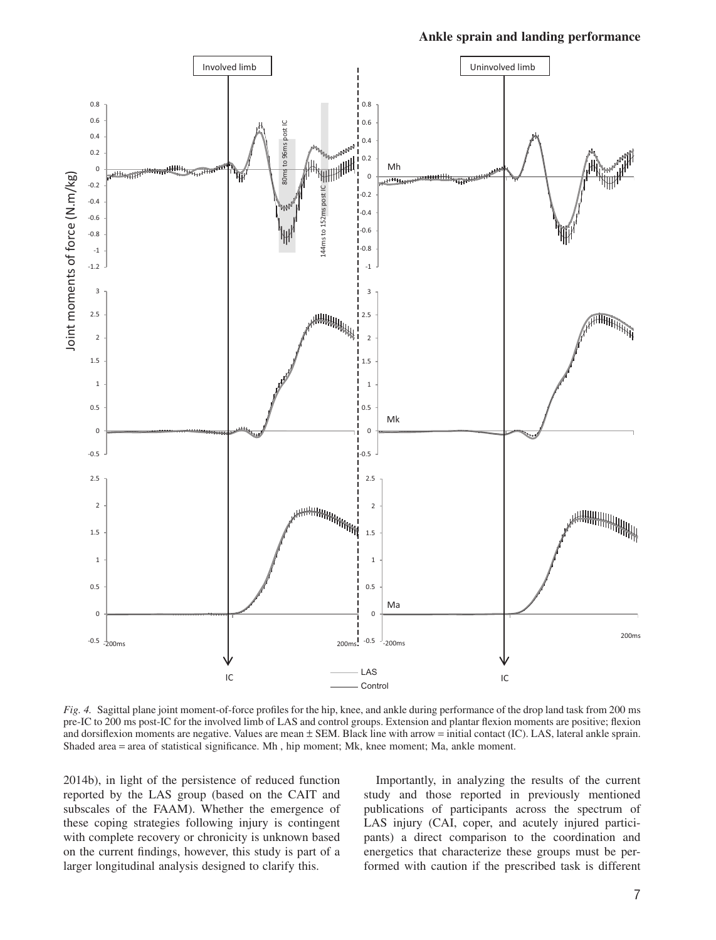#### **Ankle sprain and landing performance**



*Fig. 4.* Sagittal plane joint moment-of-force profiles for the hip, knee, and ankle during performance of the drop land task from 200 ms pre-IC to 200 ms post-IC for the involved limb of LAS and control groups. Extension and plantar flexion moments are positive; flexion and dorsiflexion moments are negative. Values are mean ± SEM. Black line with arrow = initial contact (IC). LAS, lateral ankle sprain. Shaded area = area of statistical significance. Mh , hip moment; Mk, knee moment; Ma, ankle moment.

2014b), in light of the persistence of reduced function reported by the LAS group (based on the CAIT and subscales of the FAAM). Whether the emergence of these coping strategies following injury is contingent with complete recovery or chronicity is unknown based on the current findings, however, this study is part of a larger longitudinal analysis designed to clarify this.

Importantly, in analyzing the results of the current study and those reported in previously mentioned publications of participants across the spectrum of LAS injury (CAI, coper, and acutely injured participants) a direct comparison to the coordination and energetics that characterize these groups must be performed with caution if the prescribed task is different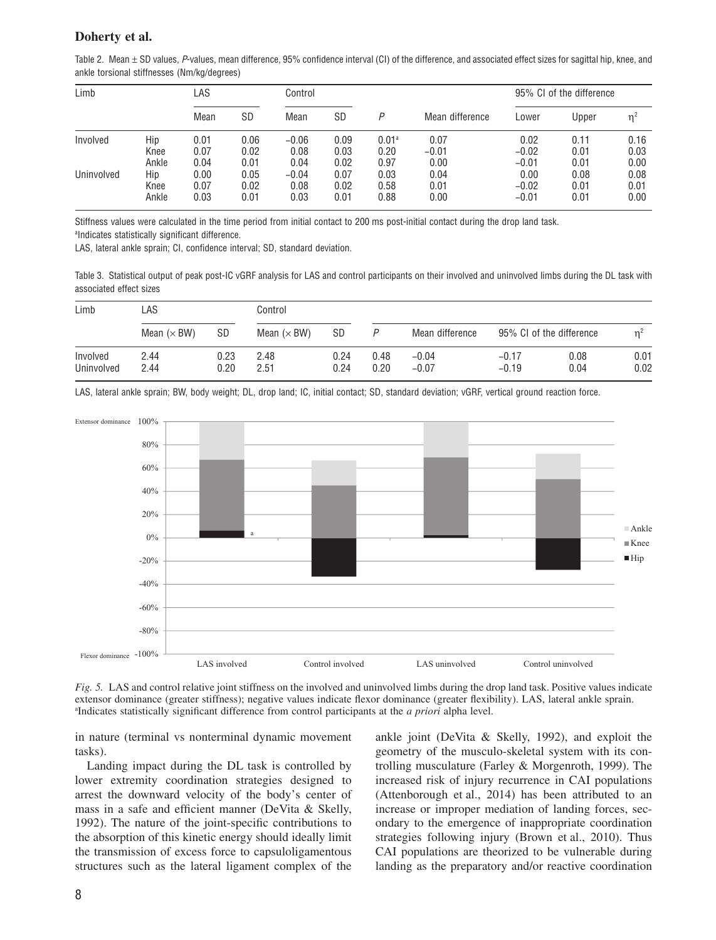Table 2. Mean  $\pm$  SD values, P-values, mean difference, 95% confidence interval (CI) of the difference, and associated effect sizes for sagittal hip, knee, and ankle torsional stiffnesses (Nm/kg/degrees)

| Limb       |       | LAS  |      | Control |      |                   |                 | 95% CI of the difference |          |      |
|------------|-------|------|------|---------|------|-------------------|-----------------|--------------------------|----------|------|
|            |       | Mean | SD   | Mean    | SD   | P                 | Mean difference | Lower                    | Upper    |      |
| Involved   | Hip   | 0.01 | 0.06 | $-0.06$ | 0.09 | 0.01 <sup>a</sup> | 0.07            | 0.02                     | 0.11     | 0.16 |
|            | Knee  | 0.07 | 0.02 | 0.08    | 0.03 | 0.20              | $-0.01$         | $-0.02$                  | $0.01\,$ | 0.03 |
|            | Ankle | 0.04 | 0.01 | 0.04    | 0.02 | 0.97              | 0.00            | $-0.01$                  | $0.01\,$ | 0.00 |
| Uninvolved | Hip   | 0.00 | 0.05 | $-0.04$ | 0.07 | 0.03              | 0.04            | 0.00                     | 0.08     | 0.08 |
|            | Knee  | 0.07 | 0.02 | 0.08    | 0.02 | 0.58              | 0.01            | $-0.02$                  | $0.01\,$ | 0.01 |
|            | Ankle | 0.03 | 0.01 | 0.03    | 0.01 | 0.88              | 0.00            | $-0.01$                  | $0.01\,$ | 0.00 |

Stiffness values were calculated in the time period from initial contact to 200 ms post-initial contact during the drop land task. a Indicates statistically significant difference.

LAS, lateral ankle sprain; CI, confidence interval; SD, standard deviation.

Table 3. Statistical output of peak post-IC vGRF analysis for LAS and control participants on their involved and uninvolved limbs during the DL task with associated effect sizes

| Limb<br>Involved<br>Uninvolved | ∟AS                |              | Control             |              |              |                    |                          |              |              |
|--------------------------------|--------------------|--------------|---------------------|--------------|--------------|--------------------|--------------------------|--------------|--------------|
|                                | Mean $(\times$ BW) | SD           | Mean ( $\times$ BW) | SD           |              | Mean difference    | 95% CI of the difference |              | m.           |
|                                | 2.44<br>2.44       | 0.23<br>0.20 | 2.48<br>2.51        | 0.24<br>0.24 | 0.48<br>0.20 | $-0.04$<br>$-0.07$ | $-0.17$<br>$-0.19$       | 0.08<br>0.04 | 0.01<br>0.02 |

LAS, lateral ankle sprain; BW, body weight; DL, drop land; IC, initial contact; SD, standard deviation; vGRF, vertical ground reaction force.



*Fig. 5.* LAS and control relative joint stiffness on the involved and uninvolved limbs during the drop land task. Positive values indicate extensor dominance (greater stiffness); negative values indicate flexor dominance (greater flexibility). LAS, lateral ankle sprain. a Indicates statistically significant difference from control participants at the *a priori* alpha level.

in nature (terminal vs nonterminal dynamic movement tasks).

Landing impact during the DL task is controlled by lower extremity coordination strategies designed to arrest the downward velocity of the body's center of mass in a safe and efficient manner (DeVita & Skelly, 1992). The nature of the joint-specific contributions to the absorption of this kinetic energy should ideally limit the transmission of excess force to capsuloligamentous structures such as the lateral ligament complex of the

ankle joint (DeVita & Skelly, 1992), and exploit the geometry of the musculo-skeletal system with its controlling musculature (Farley & Morgenroth, 1999). The increased risk of injury recurrence in CAI populations (Attenborough et al., 2014) has been attributed to an increase or improper mediation of landing forces, secondary to the emergence of inappropriate coordination strategies following injury (Brown et al., 2010). Thus CAI populations are theorized to be vulnerable during landing as the preparatory and/or reactive coordination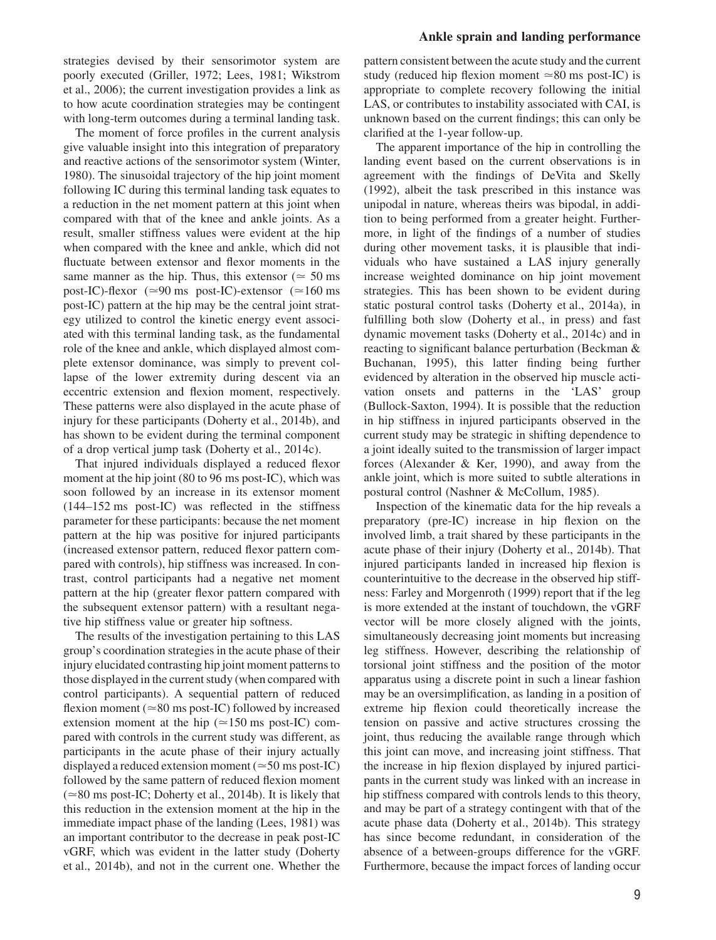strategies devised by their sensorimotor system are poorly executed (Griller, 1972; Lees, 1981; Wikstrom et al., 2006); the current investigation provides a link as to how acute coordination strategies may be contingent with long-term outcomes during a terminal landing task.

The moment of force profiles in the current analysis give valuable insight into this integration of preparatory and reactive actions of the sensorimotor system (Winter, 1980). The sinusoidal trajectory of the hip joint moment following IC during this terminal landing task equates to a reduction in the net moment pattern at this joint when compared with that of the knee and ankle joints. As a result, smaller stiffness values were evident at the hip when compared with the knee and ankle, which did not fluctuate between extensor and flexor moments in the same manner as the hip. Thus, this extensor ( $\simeq$  50 ms post-IC)-flexor ( $\simeq$ 90 ms post-IC)-extensor ( $\simeq$ 160 ms post-IC) pattern at the hip may be the central joint strategy utilized to control the kinetic energy event associated with this terminal landing task, as the fundamental role of the knee and ankle, which displayed almost complete extensor dominance, was simply to prevent collapse of the lower extremity during descent via an eccentric extension and flexion moment, respectively. These patterns were also displayed in the acute phase of injury for these participants (Doherty et al., 2014b), and has shown to be evident during the terminal component of a drop vertical jump task (Doherty et al., 2014c).

That injured individuals displayed a reduced flexor moment at the hip joint (80 to 96 ms post-IC), which was soon followed by an increase in its extensor moment (144–152 ms post-IC) was reflected in the stiffness parameter for these participants: because the net moment pattern at the hip was positive for injured participants (increased extensor pattern, reduced flexor pattern compared with controls), hip stiffness was increased. In contrast, control participants had a negative net moment pattern at the hip (greater flexor pattern compared with the subsequent extensor pattern) with a resultant negative hip stiffness value or greater hip softness.

The results of the investigation pertaining to this LAS group's coordination strategies in the acute phase of their injury elucidated contrasting hip joint moment patterns to those displayed in the current study (when compared with control participants). A sequential pattern of reduced flexion moment (≃80 ms post-IC) followed by increased extension moment at the hip ( $\simeq$ 150 ms post-IC) compared with controls in the current study was different, as participants in the acute phase of their injury actually displayed a reduced extension moment ( $\simeq$ 50 ms post-IC) followed by the same pattern of reduced flexion moment (≃80 ms post-IC; Doherty et al., 2014b). It is likely that this reduction in the extension moment at the hip in the immediate impact phase of the landing (Lees, 1981) was an important contributor to the decrease in peak post-IC vGRF, which was evident in the latter study (Doherty et al., 2014b), and not in the current one. Whether the

#### **Ankle sprain and landing performance**

pattern consistent between the acute study and the current study (reduced hip flexion moment  $\simeq 80$  ms post-IC) is appropriate to complete recovery following the initial LAS, or contributes to instability associated with CAI, is unknown based on the current findings; this can only be clarified at the 1-year follow-up.

The apparent importance of the hip in controlling the landing event based on the current observations is in agreement with the findings of DeVita and Skelly (1992), albeit the task prescribed in this instance was unipodal in nature, whereas theirs was bipodal, in addition to being performed from a greater height. Furthermore, in light of the findings of a number of studies during other movement tasks, it is plausible that individuals who have sustained a LAS injury generally increase weighted dominance on hip joint movement strategies. This has been shown to be evident during static postural control tasks (Doherty et al., 2014a), in fulfilling both slow (Doherty et al., in press) and fast dynamic movement tasks (Doherty et al., 2014c) and in reacting to significant balance perturbation (Beckman & Buchanan, 1995), this latter finding being further evidenced by alteration in the observed hip muscle activation onsets and patterns in the 'LAS' group (Bullock-Saxton, 1994). It is possible that the reduction in hip stiffness in injured participants observed in the current study may be strategic in shifting dependence to a joint ideally suited to the transmission of larger impact forces (Alexander & Ker, 1990), and away from the ankle joint, which is more suited to subtle alterations in postural control (Nashner & McCollum, 1985).

Inspection of the kinematic data for the hip reveals a preparatory (pre-IC) increase in hip flexion on the involved limb, a trait shared by these participants in the acute phase of their injury (Doherty et al., 2014b). That injured participants landed in increased hip flexion is counterintuitive to the decrease in the observed hip stiffness: Farley and Morgenroth (1999) report that if the leg is more extended at the instant of touchdown, the vGRF vector will be more closely aligned with the joints, simultaneously decreasing joint moments but increasing leg stiffness. However, describing the relationship of torsional joint stiffness and the position of the motor apparatus using a discrete point in such a linear fashion may be an oversimplification, as landing in a position of extreme hip flexion could theoretically increase the tension on passive and active structures crossing the joint, thus reducing the available range through which this joint can move, and increasing joint stiffness. That the increase in hip flexion displayed by injured participants in the current study was linked with an increase in hip stiffness compared with controls lends to this theory, and may be part of a strategy contingent with that of the acute phase data (Doherty et al., 2014b). This strategy has since become redundant, in consideration of the absence of a between-groups difference for the vGRF. Furthermore, because the impact forces of landing occur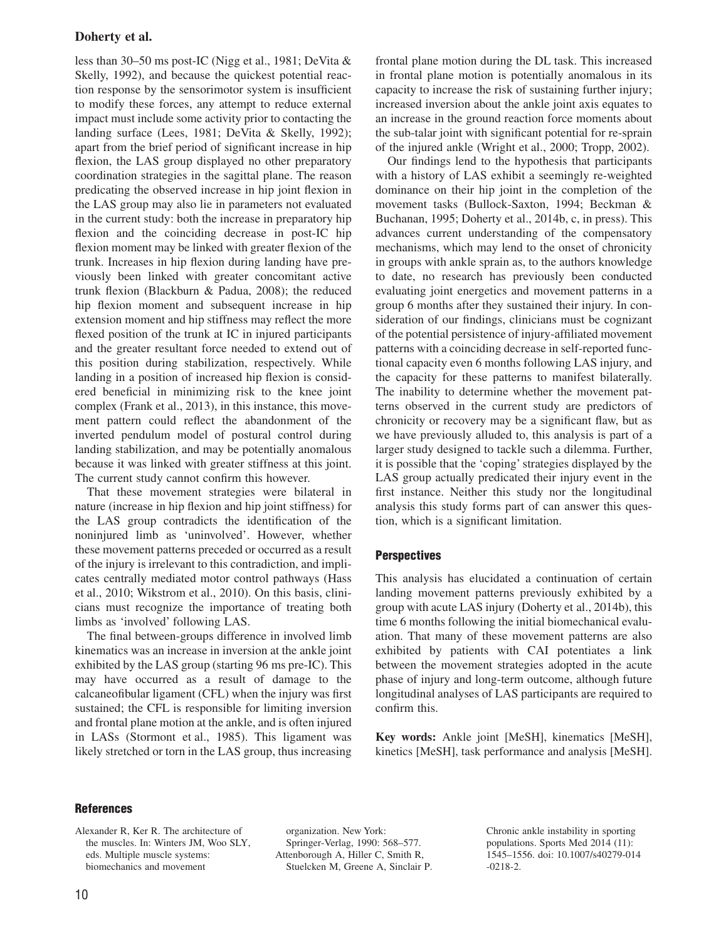less than 30–50 ms post-IC (Nigg et al., 1981; DeVita & Skelly, 1992), and because the quickest potential reaction response by the sensorimotor system is insufficient to modify these forces, any attempt to reduce external impact must include some activity prior to contacting the landing surface (Lees, 1981; DeVita & Skelly, 1992); apart from the brief period of significant increase in hip flexion, the LAS group displayed no other preparatory coordination strategies in the sagittal plane. The reason predicating the observed increase in hip joint flexion in the LAS group may also lie in parameters not evaluated in the current study: both the increase in preparatory hip flexion and the coinciding decrease in post-IC hip flexion moment may be linked with greater flexion of the trunk. Increases in hip flexion during landing have previously been linked with greater concomitant active trunk flexion (Blackburn & Padua, 2008); the reduced hip flexion moment and subsequent increase in hip extension moment and hip stiffness may reflect the more flexed position of the trunk at IC in injured participants and the greater resultant force needed to extend out of this position during stabilization, respectively. While landing in a position of increased hip flexion is considered beneficial in minimizing risk to the knee joint complex (Frank et al., 2013), in this instance, this movement pattern could reflect the abandonment of the inverted pendulum model of postural control during landing stabilization, and may be potentially anomalous because it was linked with greater stiffness at this joint. The current study cannot confirm this however.

That these movement strategies were bilateral in nature (increase in hip flexion and hip joint stiffness) for the LAS group contradicts the identification of the noninjured limb as 'uninvolved'. However, whether these movement patterns preceded or occurred as a result of the injury is irrelevant to this contradiction, and implicates centrally mediated motor control pathways (Hass et al., 2010; Wikstrom et al., 2010). On this basis, clinicians must recognize the importance of treating both limbs as 'involved' following LAS.

The final between-groups difference in involved limb kinematics was an increase in inversion at the ankle joint exhibited by the LAS group (starting 96 ms pre-IC). This may have occurred as a result of damage to the calcaneofibular ligament (CFL) when the injury was first sustained; the CFL is responsible for limiting inversion and frontal plane motion at the ankle, and is often injured in LASs (Stormont et al., 1985). This ligament was likely stretched or torn in the LAS group, thus increasing

frontal plane motion during the DL task. This increased in frontal plane motion is potentially anomalous in its capacity to increase the risk of sustaining further injury; increased inversion about the ankle joint axis equates to an increase in the ground reaction force moments about the sub-talar joint with significant potential for re-sprain of the injured ankle (Wright et al., 2000; Tropp, 2002).

Our findings lend to the hypothesis that participants with a history of LAS exhibit a seemingly re-weighted dominance on their hip joint in the completion of the movement tasks (Bullock-Saxton, 1994; Beckman & Buchanan, 1995; Doherty et al., 2014b, c, in press). This advances current understanding of the compensatory mechanisms, which may lend to the onset of chronicity in groups with ankle sprain as, to the authors knowledge to date, no research has previously been conducted evaluating joint energetics and movement patterns in a group 6 months after they sustained their injury. In consideration of our findings, clinicians must be cognizant of the potential persistence of injury-affiliated movement patterns with a coinciding decrease in self-reported functional capacity even 6 months following LAS injury, and the capacity for these patterns to manifest bilaterally. The inability to determine whether the movement patterns observed in the current study are predictors of chronicity or recovery may be a significant flaw, but as we have previously alluded to, this analysis is part of a larger study designed to tackle such a dilemma. Further, it is possible that the 'coping' strategies displayed by the LAS group actually predicated their injury event in the first instance. Neither this study nor the longitudinal analysis this study forms part of can answer this question, which is a significant limitation.

# **Perspectives**

This analysis has elucidated a continuation of certain landing movement patterns previously exhibited by a group with acute LAS injury (Doherty et al., 2014b), this time 6 months following the initial biomechanical evaluation. That many of these movement patterns are also exhibited by patients with CAI potentiates a link between the movement strategies adopted in the acute phase of injury and long-term outcome, although future longitudinal analyses of LAS participants are required to confirm this.

**Key words:** Ankle joint [MeSH], kinematics [MeSH], kinetics [MeSH], task performance and analysis [MeSH].

## **References**

Alexander R, Ker R. The architecture of the muscles. In: Winters JM, Woo SLY, eds. Multiple muscle systems: biomechanics and movement

organization. New York: Springer-Verlag, 1990: 568–577. Attenborough A, Hiller C, Smith R, Stuelcken M, Greene A, Sinclair P. Chronic ankle instability in sporting populations. Sports Med 2014 (11): 1545–1556. doi: 10.1007/s40279-014 -0218-2.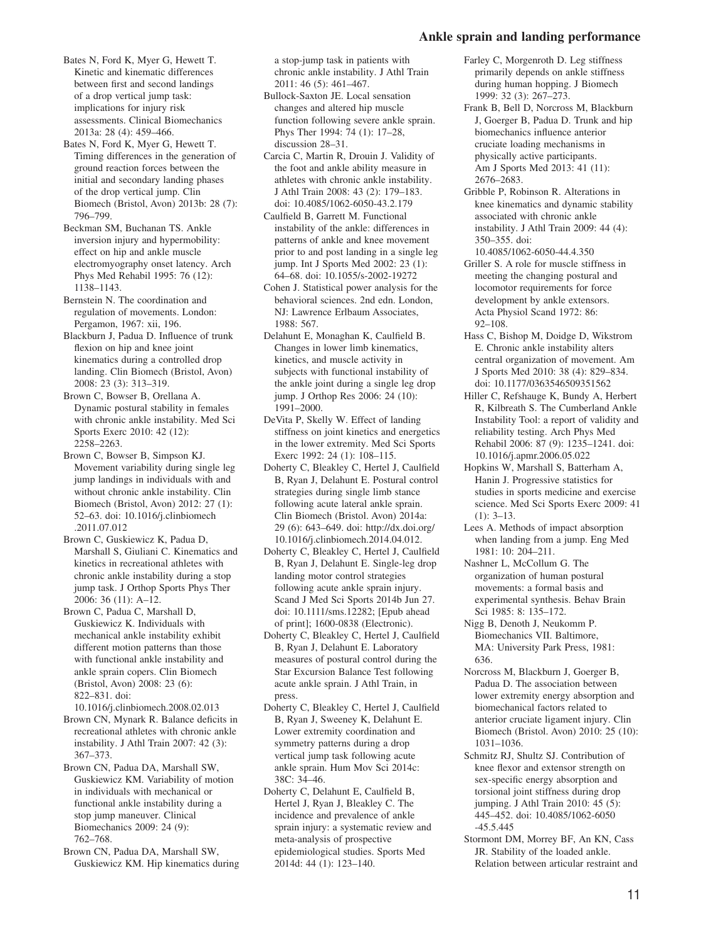#### **Ankle sprain and landing performance**

- Bates N, Ford K, Myer G, Hewett T. Kinetic and kinematic differences between first and second landings of a drop vertical jump task: implications for injury risk assessments. Clinical Biomechanics 2013a: 28 (4): 459–466.
- Bates N, Ford K, Myer G, Hewett T. Timing differences in the generation of ground reaction forces between the initial and secondary landing phases of the drop vertical jump. Clin Biomech (Bristol, Avon) 2013b: 28 (7): 796–799.
- Beckman SM, Buchanan TS. Ankle inversion injury and hypermobility: effect on hip and ankle muscle electromyography onset latency. Arch Phys Med Rehabil 1995: 76 (12): 1138–1143.
- Bernstein N. The coordination and regulation of movements. London: Pergamon, 1967: xii, 196.
- Blackburn J, Padua D. Influence of trunk flexion on hip and knee joint kinematics during a controlled drop landing. Clin Biomech (Bristol, Avon) 2008: 23 (3): 313–319.
- Brown C, Bowser B, Orellana A. Dynamic postural stability in females with chronic ankle instability. Med Sci Sports Exerc 2010: 42 (12): 2258–2263.
- Brown C, Bowser B, Simpson KJ. Movement variability during single leg jump landings in individuals with and without chronic ankle instability. Clin Biomech (Bristol, Avon) 2012: 27 (1): 52–63. doi: 10.1016/j.clinbiomech .2011.07.012
- Brown C, Guskiewicz K, Padua D, Marshall S, Giuliani C. Kinematics and kinetics in recreational athletes with chronic ankle instability during a stop jump task. J Orthop Sports Phys Ther 2006: 36 (11): A–12.
- Brown C, Padua C, Marshall D, Guskiewicz K. Individuals with mechanical ankle instability exhibit different motion patterns than those with functional ankle instability and ankle sprain copers. Clin Biomech (Bristol, Avon) 2008: 23 (6): 822–831. doi:

10.1016/j.clinbiomech.2008.02.013 Brown CN, Mynark R. Balance deficits in recreational athletes with chronic ankle instability. J Athl Train 2007: 42 (3): 367–373.

Brown CN, Padua DA, Marshall SW, Guskiewicz KM. Variability of motion in individuals with mechanical or functional ankle instability during a stop jump maneuver. Clinical Biomechanics 2009: 24 (9): 762–768.

Brown CN, Padua DA, Marshall SW, Guskiewicz KM. Hip kinematics during a stop-jump task in patients with chronic ankle instability. J Athl Train 2011: 46 (5): 461–467.

- Bullock-Saxton JE. Local sensation changes and altered hip muscle function following severe ankle sprain. Phys Ther 1994: 74 (1): 17–28, discussion 28-31.
- Carcia C, Martin R, Drouin J. Validity of the foot and ankle ability measure in athletes with chronic ankle instability. J Athl Train 2008: 43 (2): 179–183. doi: 10.4085/1062-6050-43.2.179
- Caulfield B, Garrett M. Functional instability of the ankle: differences in patterns of ankle and knee movement prior to and post landing in a single leg jump. Int J Sports Med 2002: 23 (1): 64–68. doi: 10.1055/s-2002-19272
- Cohen J. Statistical power analysis for the behavioral sciences. 2nd edn. London, NJ: Lawrence Erlbaum Associates, 1988: 567.
- Delahunt E, Monaghan K, Caulfield B. Changes in lower limb kinematics, kinetics, and muscle activity in subjects with functional instability of the ankle joint during a single leg drop jump. J Orthop Res 2006: 24 (10): 1991–2000.
- DeVita P, Skelly W. Effect of landing stiffness on joint kinetics and energetics in the lower extremity. Med Sci Sports Exerc 1992: 24 (1): 108–115.
- Doherty C, Bleakley C, Hertel J, Caulfield B, Ryan J, Delahunt E. Postural control strategies during single limb stance following acute lateral ankle sprain. Clin Biomech (Bristol. Avon) 2014a: 29 (6): 643–649. doi: [http://dx.doi.org/](http://dx.doi.org/10.1016/j.clinbiomech.2014.04.012) [10.1016/j.clinbiomech.2014.04.012.](http://dx.doi.org/10.1016/j.clinbiomech.2014.04.012)
- Doherty C, Bleakley C, Hertel J, Caulfield B, Ryan J, Delahunt E. Single-leg drop landing motor control strategies following acute ankle sprain injury. Scand J Med Sci Sports 2014b Jun 27. doi: 10.1111/sms.12282; [Epub ahead of print]; 1600-0838 (Electronic).
- Doherty C, Bleakley C, Hertel J, Caulfield B, Ryan J, Delahunt E. Laboratory measures of postural control during the Star Excursion Balance Test following acute ankle sprain. J Athl Train, in press.
- Doherty C, Bleakley C, Hertel J, Caulfield B, Ryan J, Sweeney K, Delahunt E. Lower extremity coordination and symmetry patterns during a drop vertical jump task following acute ankle sprain. Hum Mov Sci 2014c: 38C: 34–46.
- Doherty C, Delahunt E, Caulfield B, Hertel J, Ryan J, Bleakley C. The incidence and prevalence of ankle sprain injury: a systematic review and meta-analysis of prospective epidemiological studies. Sports Med 2014d: 44 (1): 123–140.
- Farley C, Morgenroth D. Leg stiffness primarily depends on ankle stiffness during human hopping. J Biomech 1999: 32 (3): 267–273.
- Frank B, Bell D, Norcross M, Blackburn J, Goerger B, Padua D. Trunk and hip biomechanics influence anterior cruciate loading mechanisms in physically active participants. Am J Sports Med 2013: 41 (11): 2676–2683.
- Gribble P, Robinson R. Alterations in knee kinematics and dynamic stability associated with chronic ankle instability. J Athl Train 2009: 44 (4): 350–355. doi:
- 10.4085/1062-6050-44.4.350 Griller S. A role for muscle stiffness in meeting the changing postural and locomotor requirements for force development by ankle extensors. Acta Physiol Scand 1972: 86: 92–108.
- Hass C, Bishop M, Doidge D, Wikstrom E. Chronic ankle instability alters central organization of movement. Am J Sports Med 2010: 38 (4): 829–834. doi: 10.1177/0363546509351562
- Hiller C, Refshauge K, Bundy A, Herbert R, Kilbreath S. The Cumberland Ankle Instability Tool: a report of validity and reliability testing. Arch Phys Med Rehabil 2006: 87 (9): 1235–1241. doi: 10.1016/j.apmr.2006.05.022
- Hopkins W, Marshall S, Batterham A, Hanin J. Progressive statistics for studies in sports medicine and exercise science. Med Sci Sports Exerc 2009: 41 (1): 3–13.
- Lees A. Methods of impact absorption when landing from a jump. Eng Med 1981: 10: 204–211.
- Nashner L, McCollum G. The organization of human postural movements: a formal basis and experimental synthesis. Behav Brain Sci 1985: 8: 135–172.
- Nigg B, Denoth J, Neukomm P. Biomechanics VII. Baltimore, MA: University Park Press, 1981: 636.
- Norcross M, Blackburn J, Goerger B, Padua D. The association between lower extremity energy absorption and biomechanical factors related to anterior cruciate ligament injury. Clin Biomech (Bristol. Avon) 2010: 25 (10): 1031–1036.
- Schmitz RJ, Shultz SJ. Contribution of knee flexor and extensor strength on sex-specific energy absorption and torsional joint stiffness during drop jumping. J Athl Train 2010: 45 (5): 445–452. doi: 10.4085/1062-6050 -45.5.445
- Stormont DM, Morrey BF, An KN, Cass JR. Stability of the loaded ankle. Relation between articular restraint and